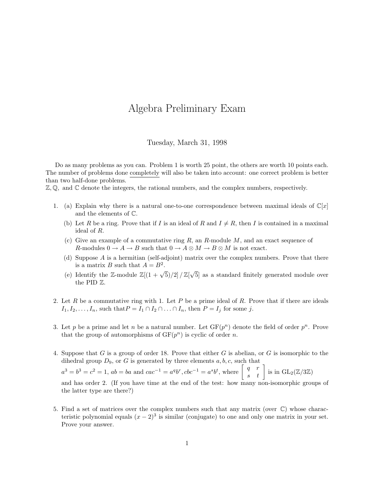## Algebra Preliminary Exam

Tuesday, March 31, 1998

Do as many problems as you can. Problem 1 is worth 25 point, the others are worth 10 points each. The number of problems done completely will also be taken into account: one correct problem is better than two half-done problems.

 $\mathbb{Z}, \mathbb{Q}$ , and  $\mathbb{C}$  denote the integers, the rational numbers, and the complex numbers, respectively.

- 1. (a) Explain why there is a natural one-to-one correspondence between maximal ideals of  $\mathbb{C}[x]$ and the elements of C.
	- (b) Let R be a ring. Prove that if I is an ideal of R and  $I \neq R$ , then I is contained in a maximal ideal of R.
	- (c) Give an example of a commutative ring  $R$ , an  $R$ -module  $M$ , and an exact sequence of R-modules  $0 \to A \to B$  such that  $0 \to A \otimes M \to B \otimes M$  is not exact.
	- (d) Suppose A is a hermitian (self-adjoint) matrix over the complex numbers. Prove that there is a matrix B such that  $A = B^2$ .
	- (e) Identify the Z-module  $\mathbb{Z}[(1+\sqrt{5})/2]/\mathbb{Z}[\sqrt{5}$ 5] as a standard finitely generated module over the PID Z.
- 2. Let  $R$  be a commutative ring with 1. Let  $P$  be a prime ideal of  $R$ . Prove that if there are ideals  $I_1, I_2, \ldots, I_n$ , such that  $P = I_1 \cap I_2 \cap \ldots \cap I_n$ , then  $P = I_j$  for some j.
- 3. Let p be a prime and let n be a natural number. Let  $GF(p^n)$  denote the field of order  $p^n$ . Prove that the group of automorphisms of  $GF(p^n)$  is cyclic of order n.
- 4. Suppose that G is a group of order 18. Prove that either G is abelian, or G is isomorphic to the dihedral group  $D_9$ , or G is generated by three elements  $a, b, c$ , such that

 $a^3 = b^3 = c^2 = 1$ ,  $ab = ba$  and  $cac^{-1} = a^q b^r$ ,  $cbc^{-1} = a^s b^t$ , where  $\begin{bmatrix} q & r \\ s & t \end{bmatrix}$  is in  $GL_2(\mathbb{Z}/3\mathbb{Z})$ 

and has order 2. (If you have time at the end of the test: how many non-isomorphic groups of the latter type are there?)

5. Find a set of matrices over the complex numbers such that any matrix (over  $\mathbb{C}$ ) whose characteristic polynomial equals  $(x - 2)^3$  is similar (conjugate) to one and only one matrix in your set. Prove your answer.